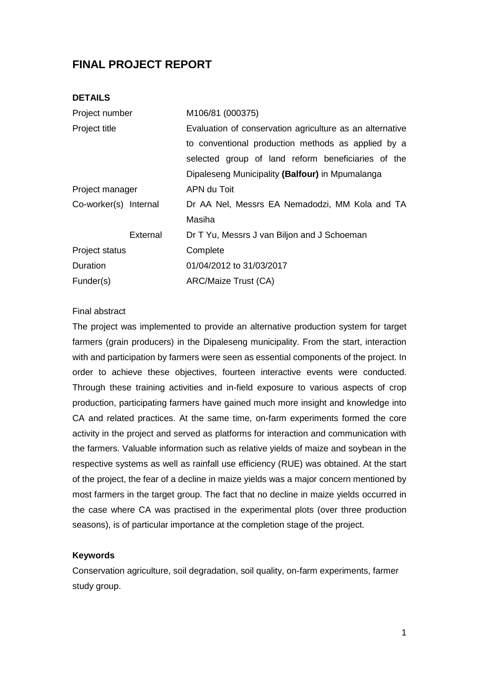# **FINAL PROJECT REPORT**

#### **DETAILS**

| Project number        |          | M106/81 (000375)                                         |  |  |
|-----------------------|----------|----------------------------------------------------------|--|--|
| Project title         |          | Evaluation of conservation agriculture as an alternative |  |  |
|                       |          | to conventional production methods as applied by a       |  |  |
|                       |          | selected group of land reform beneficiaries of the       |  |  |
|                       |          | Dipaleseng Municipality (Balfour) in Mpumalanga          |  |  |
| Project manager       |          | APN du Toit                                              |  |  |
| Co-worker(s) Internal |          | Dr AA Nel, Messrs EA Nemadodzi, MM Kola and TA           |  |  |
|                       |          | Masiha                                                   |  |  |
|                       | External | Dr T Yu, Messrs J van Biljon and J Schoeman              |  |  |
| Project status        |          | Complete                                                 |  |  |
| Duration              |          | 01/04/2012 to 31/03/2017                                 |  |  |
| Funder(s)             |          | ARC/Maize Trust (CA)                                     |  |  |
|                       |          |                                                          |  |  |

#### Final abstract

The project was implemented to provide an alternative production system for target farmers (grain producers) in the Dipaleseng municipality. From the start, interaction with and participation by farmers were seen as essential components of the project. In order to achieve these objectives, fourteen interactive events were conducted. Through these training activities and in-field exposure to various aspects of crop production, participating farmers have gained much more insight and knowledge into CA and related practices. At the same time, on-farm experiments formed the core activity in the project and served as platforms for interaction and communication with the farmers. Valuable information such as relative yields of maize and soybean in the respective systems as well as rainfall use efficiency (RUE) was obtained. At the start of the project, the fear of a decline in maize yields was a major concern mentioned by most farmers in the target group. The fact that no decline in maize yields occurred in the case where CA was practised in the experimental plots (over three production seasons), is of particular importance at the completion stage of the project.

#### **Keywords**

Conservation agriculture, soil degradation, soil quality, on-farm experiments, farmer study group.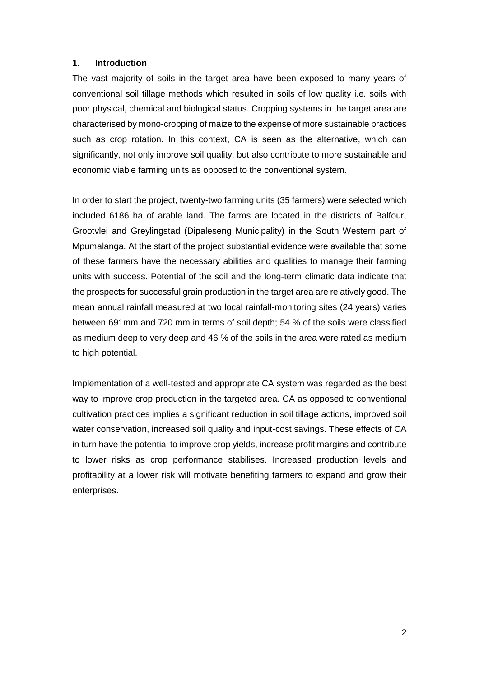### **1. Introduction**

The vast majority of soils in the target area have been exposed to many years of conventional soil tillage methods which resulted in soils of low quality i.e. soils with poor physical, chemical and biological status. Cropping systems in the target area are characterised by mono-cropping of maize to the expense of more sustainable practices such as crop rotation. In this context, CA is seen as the alternative, which can significantly, not only improve soil quality, but also contribute to more sustainable and economic viable farming units as opposed to the conventional system.

In order to start the project, twenty-two farming units (35 farmers) were selected which included 6186 ha of arable land. The farms are located in the districts of Balfour, Grootvlei and Greylingstad (Dipaleseng Municipality) in the South Western part of Mpumalanga. At the start of the project substantial evidence were available that some of these farmers have the necessary abilities and qualities to manage their farming units with success. Potential of the soil and the long-term climatic data indicate that the prospects for successful grain production in the target area are relatively good. The mean annual rainfall measured at two local rainfall-monitoring sites (24 years) varies between 691mm and 720 mm in terms of soil depth; 54 % of the soils were classified as medium deep to very deep and 46 % of the soils in the area were rated as medium to high potential.

Implementation of a well-tested and appropriate CA system was regarded as the best way to improve crop production in the targeted area. CA as opposed to conventional cultivation practices implies a significant reduction in soil tillage actions, improved soil water conservation, increased soil quality and input-cost savings. These effects of CA in turn have the potential to improve crop yields, increase profit margins and contribute to lower risks as crop performance stabilises. Increased production levels and profitability at a lower risk will motivate benefiting farmers to expand and grow their enterprises.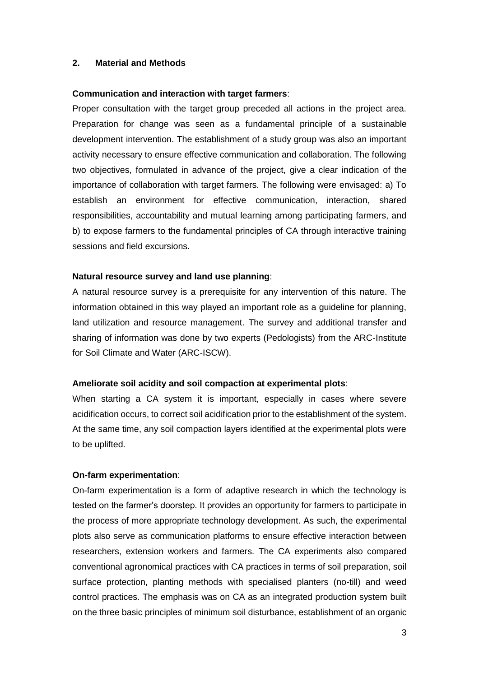#### **2. Material and Methods**

#### **Communication and interaction with target farmers**:

Proper consultation with the target group preceded all actions in the project area. Preparation for change was seen as a fundamental principle of a sustainable development intervention. The establishment of a study group was also an important activity necessary to ensure effective communication and collaboration. The following two objectives, formulated in advance of the project, give a clear indication of the importance of collaboration with target farmers. The following were envisaged: a) To establish an environment for effective communication, interaction, shared responsibilities, accountability and mutual learning among participating farmers, and b) to expose farmers to the fundamental principles of CA through interactive training sessions and field excursions.

#### **Natural resource survey and land use planning**:

A natural resource survey is a prerequisite for any intervention of this nature. The information obtained in this way played an important role as a guideline for planning, land utilization and resource management. The survey and additional transfer and sharing of information was done by two experts (Pedologists) from the ARC-Institute for Soil Climate and Water (ARC-ISCW).

#### **Ameliorate soil acidity and soil compaction at experimental plots**:

When starting a CA system it is important, especially in cases where severe acidification occurs, to correct soil acidification prior to the establishment of the system. At the same time, any soil compaction layers identified at the experimental plots were to be uplifted.

#### **On-farm experimentation**:

On-farm experimentation is a form of adaptive research in which the technology is tested on the farmer's doorstep. It provides an opportunity for farmers to participate in the process of more appropriate technology development. As such, the experimental plots also serve as communication platforms to ensure effective interaction between researchers, extension workers and farmers. The CA experiments also compared conventional agronomical practices with CA practices in terms of soil preparation, soil surface protection, planting methods with specialised planters (no-till) and weed control practices. The emphasis was on CA as an integrated production system built on the three basic principles of minimum soil disturbance, establishment of an organic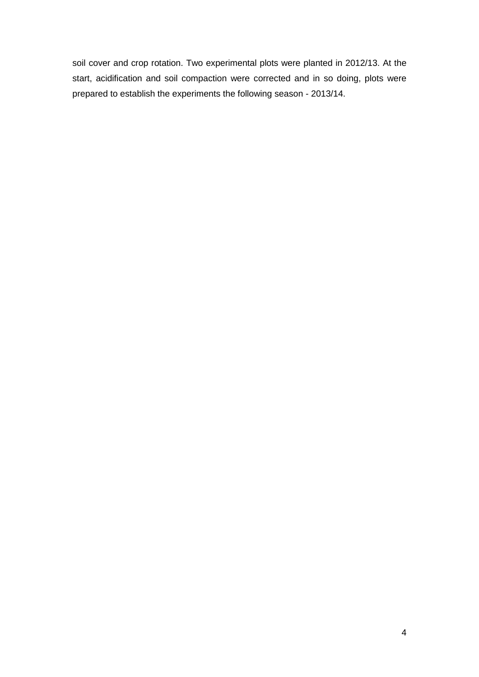soil cover and crop rotation. Two experimental plots were planted in 2012/13. At the start, acidification and soil compaction were corrected and in so doing, plots were prepared to establish the experiments the following season - 2013/14.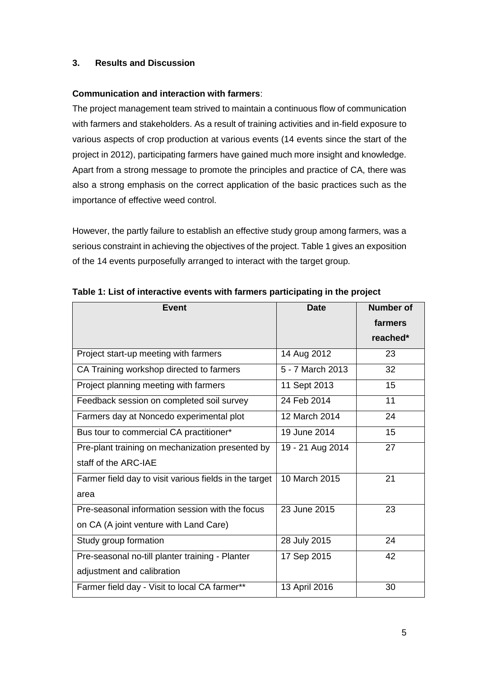# **3. Results and Discussion**

# **Communication and interaction with farmers**:

The project management team strived to maintain a continuous flow of communication with farmers and stakeholders. As a result of training activities and in-field exposure to various aspects of crop production at various events (14 events since the start of the project in 2012), participating farmers have gained much more insight and knowledge. Apart from a strong message to promote the principles and practice of CA, there was also a strong emphasis on the correct application of the basic practices such as the importance of effective weed control.

However, the partly failure to establish an effective study group among farmers, was a serious constraint in achieving the objectives of the project. Table 1 gives an exposition of the 14 events purposefully arranged to interact with the target group.

| <b>Event</b>                                           | <b>Date</b>      | <b>Number of</b> |
|--------------------------------------------------------|------------------|------------------|
|                                                        |                  | farmers          |
|                                                        |                  | reached*         |
| Project start-up meeting with farmers                  | 14 Aug 2012      | 23               |
| CA Training workshop directed to farmers               | 5 - 7 March 2013 | 32               |
| Project planning meeting with farmers                  | 11 Sept 2013     | 15               |
| Feedback session on completed soil survey              | 24 Feb 2014      | 11               |
| Farmers day at Noncedo experimental plot               | 12 March 2014    | 24               |
| Bus tour to commercial CA practitioner*                | 19 June 2014     | 15               |
| Pre-plant training on mechanization presented by       | 19 - 21 Aug 2014 | 27               |
| staff of the ARC-IAE                                   |                  |                  |
| Farmer field day to visit various fields in the target | 10 March 2015    | 21               |
| area                                                   |                  |                  |
| Pre-seasonal information session with the focus        | 23 June 2015     | 23               |
| on CA (A joint venture with Land Care)                 |                  |                  |
| Study group formation                                  | 28 July 2015     | 24               |
| Pre-seasonal no-till planter training - Planter        | 17 Sep 2015      | 42               |
| adjustment and calibration                             |                  |                  |
| Farmer field day - Visit to local CA farmer**          | 13 April 2016    | 30               |

**Table 1: List of interactive events with farmers participating in the project**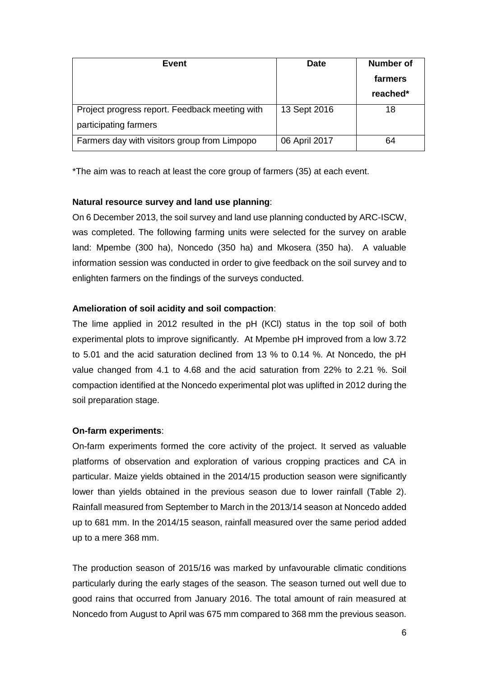| Event                                          | <b>Date</b>   | <b>Number of</b> |
|------------------------------------------------|---------------|------------------|
|                                                |               | farmers          |
|                                                |               | reached*         |
| Project progress report. Feedback meeting with | 13 Sept 2016  | 18               |
| participating farmers                          |               |                  |
| Farmers day with visitors group from Limpopo   | 06 April 2017 | 64               |

\*The aim was to reach at least the core group of farmers (35) at each event.

# **Natural resource survey and land use planning**:

On 6 December 2013, the soil survey and land use planning conducted by ARC-ISCW, was completed. The following farming units were selected for the survey on arable land: Mpembe (300 ha), Noncedo (350 ha) and Mkosera (350 ha). A valuable information session was conducted in order to give feedback on the soil survey and to enlighten farmers on the findings of the surveys conducted.

# **Amelioration of soil acidity and soil compaction**:

The lime applied in 2012 resulted in the pH (KCl) status in the top soil of both experimental plots to improve significantly. At Mpembe pH improved from a low 3.72 to 5.01 and the acid saturation declined from 13 % to 0.14 %. At Noncedo, the pH value changed from 4.1 to 4.68 and the acid saturation from 22% to 2.21 %. Soil compaction identified at the Noncedo experimental plot was uplifted in 2012 during the soil preparation stage.

## **On-farm experiments**:

On-farm experiments formed the core activity of the project. It served as valuable platforms of observation and exploration of various cropping practices and CA in particular. Maize yields obtained in the 2014/15 production season were significantly lower than yields obtained in the previous season due to lower rainfall (Table 2). Rainfall measured from September to March in the 2013/14 season at Noncedo added up to 681 mm. In the 2014/15 season, rainfall measured over the same period added up to a mere 368 mm.

The production season of 2015/16 was marked by unfavourable climatic conditions particularly during the early stages of the season. The season turned out well due to good rains that occurred from January 2016. The total amount of rain measured at Noncedo from August to April was 675 mm compared to 368 mm the previous season.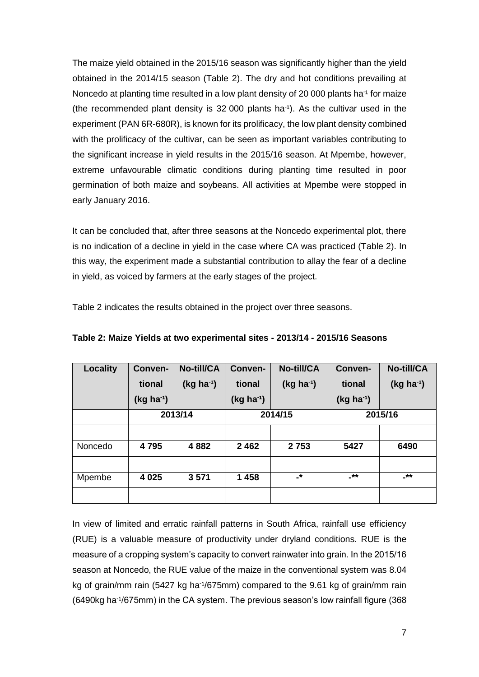The maize yield obtained in the 2015/16 season was significantly higher than the yield obtained in the 2014/15 season (Table 2). The dry and hot conditions prevailing at Noncedo at planting time resulted in a low plant density of 20 000 plants ha<sup>-1</sup> for maize (the recommended plant density is  $32,000$  plants ha<sup>-1</sup>). As the cultivar used in the experiment (PAN 6R-680R), is known for its prolificacy, the low plant density combined with the prolificacy of the cultivar, can be seen as important variables contributing to the significant increase in yield results in the 2015/16 season. At Mpembe, however, extreme unfavourable climatic conditions during planting time resulted in poor germination of both maize and soybeans. All activities at Mpembe were stopped in early January 2016.

It can be concluded that, after three seasons at the Noncedo experimental plot, there is no indication of a decline in yield in the case where CA was practiced (Table 2). In this way, the experiment made a substantial contribution to allay the fear of a decline in yield, as voiced by farmers at the early stages of the project.

Table 2 indicates the results obtained in the project over three seasons.

| <b>Locality</b> | Conven-     | <b>No-till/CA</b> | Conven-        | No-till/CA     | Conven-        | No-till/CA  |
|-----------------|-------------|-------------------|----------------|----------------|----------------|-------------|
|                 | tional      | $(kg ha-1)$       | tional         | $(Kg ha^{-1})$ | tional         | $(kg ha-1)$ |
|                 | $(kg ha-1)$ |                   | $(Kg ha^{-1})$ |                | $(Kg ha^{-1})$ |             |
|                 |             | 2013/14           | 2014/15        |                | 2015/16        |             |
|                 |             |                   |                |                |                |             |
| Noncedo         | 4795        | 4882              | 2462           | 2753           | 5427           | 6490        |
|                 |             |                   |                |                |                |             |
| Mpembe          | 4 0 25      | 3571              | 1458           | -*             | _**            | -**         |
|                 |             |                   |                |                |                |             |

| Table 2: Maize Yields at two experimental sites - 2013/14 - 2015/16 Seasons |
|-----------------------------------------------------------------------------|
|-----------------------------------------------------------------------------|

In view of limited and erratic rainfall patterns in South Africa, rainfall use efficiency (RUE) is a valuable measure of productivity under dryland conditions. RUE is the measure of a cropping system's capacity to convert rainwater into grain. In the 2015/16 season at Noncedo, the RUE value of the maize in the conventional system was 8.04 kg of grain/mm rain (5427 kg ha<sup>-1</sup>/675mm) compared to the 9.61 kg of grain/mm rain (6490kg ha<sup>-1</sup>/675mm) in the CA system. The previous season's low rainfall figure (368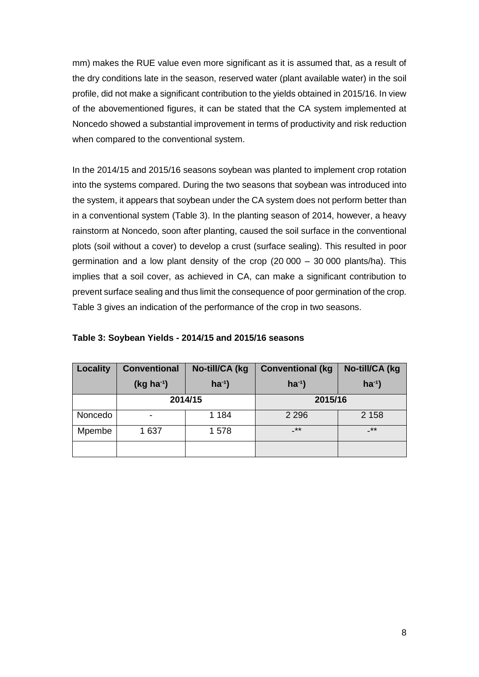mm) makes the RUE value even more significant as it is assumed that, as a result of the dry conditions late in the season, reserved water (plant available water) in the soil profile, did not make a significant contribution to the yields obtained in 2015/16. In view of the abovementioned figures, it can be stated that the CA system implemented at Noncedo showed a substantial improvement in terms of productivity and risk reduction when compared to the conventional system.

In the 2014/15 and 2015/16 seasons soybean was planted to implement crop rotation into the systems compared. During the two seasons that soybean was introduced into the system, it appears that soybean under the CA system does not perform better than in a conventional system (Table 3). In the planting season of 2014, however, a heavy rainstorm at Noncedo, soon after planting, caused the soil surface in the conventional plots (soil without a cover) to develop a crust (surface sealing). This resulted in poor germination and a low plant density of the crop (20 000 – 30 000 plants/ha). This implies that a soil cover, as achieved in CA, can make a significant contribution to prevent surface sealing and thus limit the consequence of poor germination of the crop. Table 3 gives an indication of the performance of the crop in two seasons.

| Locality | <b>Conventional</b> | No-till/CA (kg | <b>Conventional (kg</b> | No-till/CA (kg |
|----------|---------------------|----------------|-------------------------|----------------|
|          | $(Kg ha^{-1})$      | $ha^{-1}$      | $ha^{-1}$               | $ha^{-1}$      |
|          | 2014/15             |                | 2015/16                 |                |
| Noncedo  |                     | 1 1 8 4        | 2 2 9 6                 | 2 1 5 8        |
| Mpembe   | 1 637               | 1578           | -**                     | $+$ *          |
|          |                     |                |                         |                |

### **Table 3: Soybean Yields - 2014/15 and 2015/16 seasons**